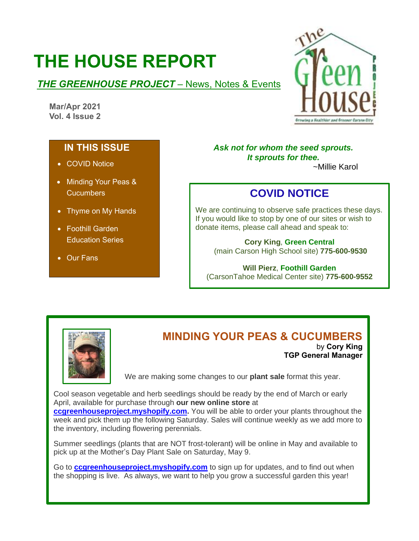# **THE HOUSE REPORT**

### **THE GREENHOUSE PROJECT** – News, Notes & Events

**Mar/Apr 2021 Vol. 4 Issue 2**



### **IN THIS ISSUE**

- COVID Notice
- Minding Your Peas & **Cucumbers**
- Thyme on My Hands
- Foothill Garden Education Series
- Our Fans

#### *Ask not for whom the seed sprouts. It sprouts for thee.* ~Millie Karol

# **COVID NOTICE**

We are continuing to observe safe practices these days. If you would like to stop by one of our sites or wish to donate items, please call ahead and speak to:

# **Cory King**, **Green Central**

(main Carson High School site) **775-600-9530**

#### **Will Pierz**, **Foothill Garden**

(CarsonTahoe Medical Center site) **775-600-9552**



# **MINDING YOUR PEAS & CUCUMBERS**

by **Cory King TGP General Manager**

We are making some changes to our **plant sale** format this year.

Cool season vegetable and herb seedlings should be ready by the end of March or early April, available for purchase through **our new online store** at **[ccgreenhouseproject.myshopify.com.](http://ccgreenhouseproject.myshopify.com/)** You will be able to order your plants throughout the week and pick them up the following Saturday. Sales will continue weekly as we add more to the inventory, including flowering perennials.

Summer seedlings (plants that are NOT frost-tolerant) will be online in May and available to pick up at the Mother's Day Plant Sale on Saturday, May 9.

Go to **[ccgreenhouseproject.myshopify.com](http://ccgreenhouseproject.myshopify.com/)** to sign up for updates, and to find out when the shopping is live. As always, we want to help you grow a successful garden this year!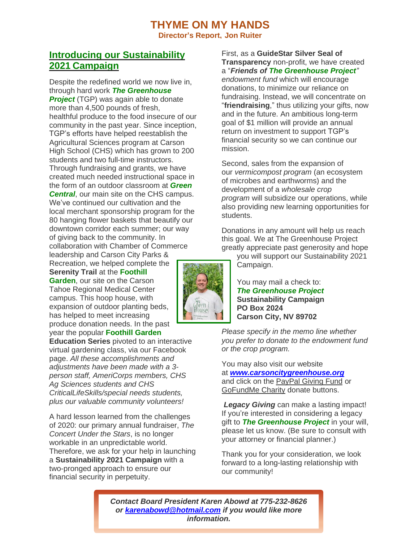### **THYME ON MY HANDS Director's Report, Jon Ruiter**

### **Introducing our Sustainability 2021 Campaign**

Despite the redefined world we now live in, through hard work *The Greenhouse* **Project** (TGP) was again able to donate more than 4,500 pounds of fresh, healthful produce to the food insecure of our community in the past year. Since inception, TGP's efforts have helped reestablish the Agricultural Sciences program at Carson High School (CHS) which has grown to 200 students and two full-time instructors. Through fundraising and grants, we have created much needed instructional space in the form of an outdoor classroom at *Green Central.* our main site on the CHS campus. We've continued our cultivation and the local merchant sponsorship program for the 80 hanging flower baskets that beautify our downtown corridor each summer; our way of giving back to the community. In collaboration with Chamber of Commerce leadership and Carson City Parks &

Recreation, we helped complete the **Serenity Trail** at the **Foothill Garden**, our site on the Carson Tahoe Regional Medical Center campus. This hoop house, with expansion of outdoor planting beds, has helped to meet increasing produce donation needs. In the past year the popular **Foothill Garden**

**Education Series** pivoted to an interactive virtual gardening class, via our Facebook page. *All these accomplishments and adjustments have been made with a 3 person staff, AmeriCorps members, CHS Ag Sciences students and CHS CriticalLifeSkills/special needs students, plus our valuable community volunteers!*

A hard lesson learned from the challenges of 2020: our primary annual fundraiser, *The Concert Under the Stars*, is no longer workable in an unpredictable world. Therefore, we ask for your help in launching a **Sustainability 2021 Campaign** with a two-pronged approach to ensure our financial security in perpetuity.

First, as a **GuideStar Silver Seal of Transparency** non-profit, we have created a "*Friends of The Greenhouse Project" endowment fund* which will encourage donations, to minimize our reliance on fundraising. Instead, we will concentrate on "**friendraising**," thus utilizing your gifts, now and in the future. An ambitious long-term goal of \$1 million will provide an annual return on investment to support TGP's financial security so we can continue our mission.

Second, sales from the expansion of our *vermicompost program* (an ecosystem of microbes and earthworms) and the development of a *wholesale crop program* will subsidize our operations, while also providing new learning opportunities for students.

Donations in any amount will help us reach this goal. We at The Greenhouse Project greatly appreciate past generosity and hope

you will support our Sustainability 2021 Campaign.

You may mail a check to: *The Greenhouse Project* **Sustainability Campaign PO Box 2024 Carson City, NV 89702**

*Please specify in the memo line whether you prefer to donate to the endowment fund or the crop program.*

You may also visit our website at *[www.carsoncitygreenhouse.org](http://www.carsoncitygreenhouse.org/)* and click on the PayPal Giving Fund or GoFundMe Charity donate buttons.

*Legacy Giving* can make a lasting impact! If you're interested in considering a legacy gift to *The Greenhouse Project* in your will, please let us know. (Be sure to consult with your attorney or financial planner.)

Thank you for your consideration, we look forward to a long-lasting relationship with our community!

*Contact Board President Karen Abowd at 775-232-8626 or [karenabowd@hotmail.com](mailto:karenabowd@hotmail.com) if you would like more information.*

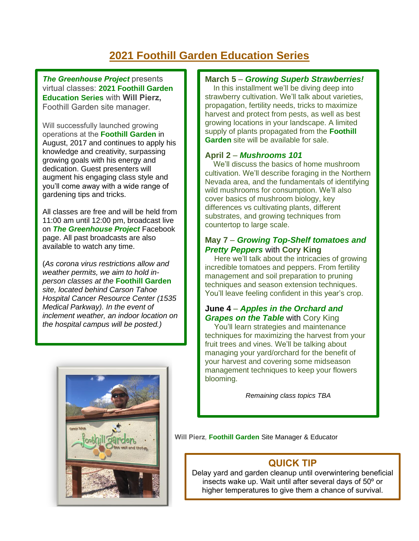# **2021 Foothill Garden Education Series**

*The Greenhouse Project* presents virtual classes: **2021 Foothill Garden Education Series** with **Will Pierz,**  Foothill Garden site manager.

Will successfully launched growing operations at the **Foothill Garden** in August, 2017 and continues to apply his knowledge and creativity, surpassing growing goals with his energy and dedication. Guest presenters will augment his engaging class style and you'll come away with a wide range of gardening tips and tricks.

All classes are free and will be held from 11:00 am until 12:00 pm, broadcast live on *The Greenhouse Project* Facebook page. All past broadcasts are also available to watch any time.

(*As corona virus restrictions allow and weather permits, we aim to hold inperson classes at the* **Foothill Garden**  *site, located behind Carson Tahoe Hospital Cancer Resource Center (1535 Medical Parkway). In the event of inclement weather, an indoor location on the hospital campus will be posted.)*



#### **March 5** – *Growing Superb Strawberries!*

In this installment we'll be diving deep into strawberry cultivation. We'll talk about varieties, propagation, fertility needs, tricks to maximize harvest and protect from pests, as well as best growing locations in your landscape. A limited supply of plants propagated from the **Foothill Garden** site will be available for sale.

#### **April 2** – *Mushrooms 101*

We'll discuss the basics of home mushroom cultivation. We'll describe foraging in the Northern Nevada area, and the fundamentals of identifying wild mushrooms for consumption. We'll also cover basics of mushroom biology, key differences vs cultivating plants, different substrates, and growing techniques from countertop to large scale.

#### **May 7** – *Growing Top-Shelf tomatoes and Pretty Peppers* with **Cory King**

 Here we'll talk about the intricacies of growing incredible tomatoes and peppers. From fertility management and soil preparation to pruning techniques and season extension techniques. You'll leave feeling confident in this year's crop.

#### **June 4** – *Apples in the Orchard and Grapes on the Table* with Cory King

You'll learn strategies and maintenance techniques for maximizing the harvest from your fruit trees and vines. We'll be talking about managing your yard/orchard for the benefit of your harvest and covering some midseason management techniques to keep your flowers blooming.

*Remaining class topics TBA*

**Will Pierz***,* **Foothill Garden** Site Manager & Educator

### **QUICK TIP**

Delay yard and garden cleanup until overwintering beneficial insects wake up. Wait until after several days of 50º or higher temperatures to give them a chance of survival.